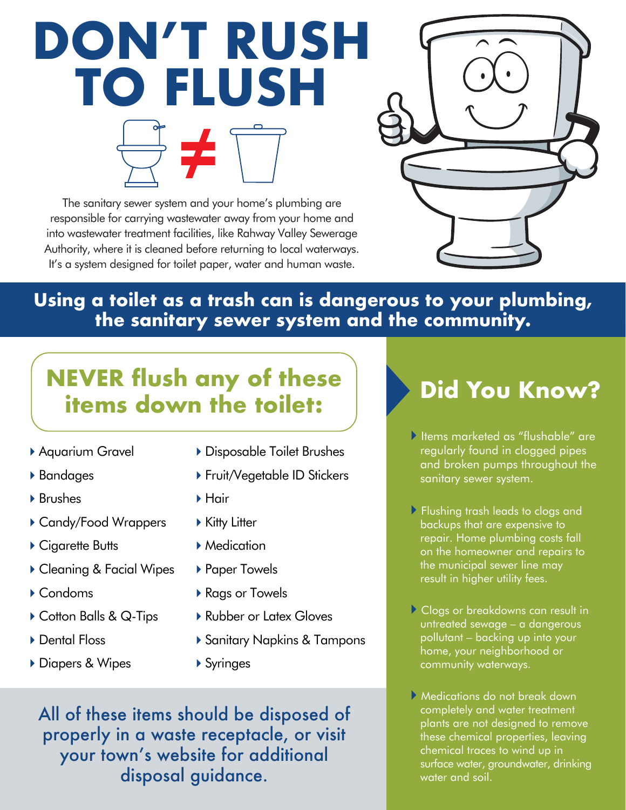# **DON'T RUSH TO FLUSH**

The sanitary sewer system and your home's plumbing are responsible for carrying wastewater away from your home and into wastewater treatment facilities, like Rahway Valley Sewerage Authority, where it is cleaned before returning to local waterways. It's a system designed for toilet paper, water and human waste.



#### **Using a toilet as a trash can is dangerous to your plumbing, the sanitary sewer system and the community.**

# **NEVER flush any of these items down the toilet:**

- Aquarium Gravel
- Bandages
- ▶ Brushes
- ▶ Candy/Food Wrappers
- ▶ Cigarette Butts
- ▶ Cleaning & Facial Wipes
- Condoms
- ▶ Cotton Balls & Q-Tips
- ▶ Dental Floss
- ▶ Diapers & Wipes
- Disposable Toilet Brushes
- ▶ Fruit/Vegetable ID Stickers
- ▶ Hair
- ▶ Kitty Litter
- ▶ Medication
- ▶ Paper Towels
- ▶ Rags or Towels
- ▶ Rubber or Latex Gloves
- ▶ Sanitary Napkins & Tampons
- ▶ Syringes

All of these items should be disposed of properly in a waste receptacle, or visit your town's website for additional disposal guidance.

# **Did You Know?**

- Items marketed as "flushable" are regularly found in clogged pipes and broken pumps throughout the sanitary sewer system.
- **Flushing trash leads to clogs and**  backups that are expensive to repair. Home plumbing costs fall on the homeowner and repairs to the municipal sewer line may result in higher utility fees.
- Clogs or breakdowns can result in untreated sewage – a dangerous pollutant – backing up into your home, your neighborhood or community waterways.
- Medications do not break down completely and water treatment plants are not designed to remove these chemical properties, leaving chemical traces to wind up in surface water, groundwater, drinking water and soil.